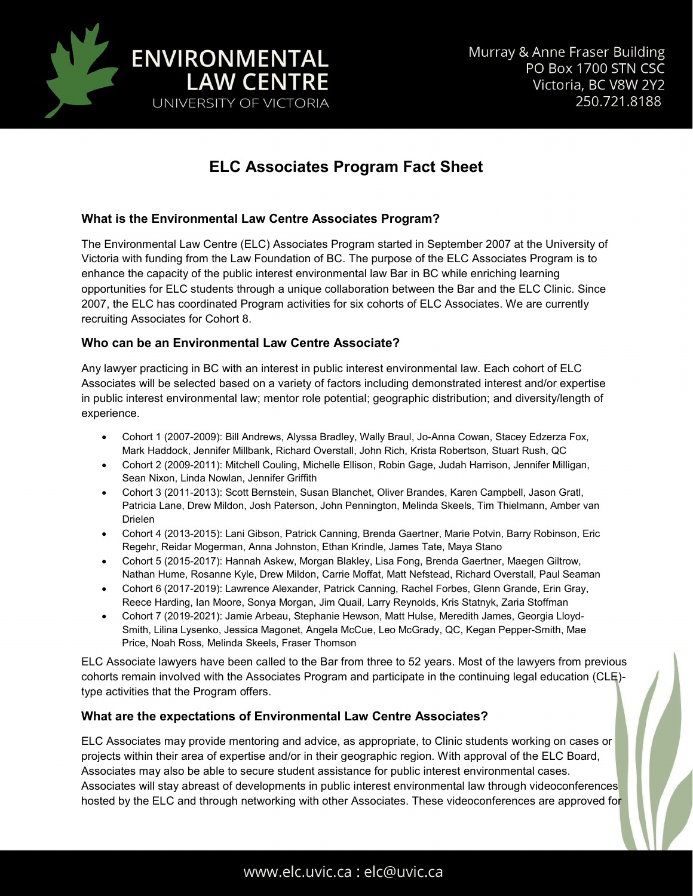

# **ELC Associates Program Fact Sheet**

### **What is the Environmental Law Centre Associates Program?**

The Environmental Law Centre (ELC) Associates Program started in September 2007 at the University of Victoria with funding from the Law Foundation of BC. The purpose of the ELC Associates Program is to enhance the capacity of the public interest environmental law Bar in BC while enriching learning opportunities for ELC students through a unique collaboration between the Bar and the ELC Clinic. Since 2007, the ELC has coordinated Program activities for six cohorts of ELC Associates. We are currently recruiting Associates for Cohort 8.

#### **Who can be an Environmental Law Centre Associate?**

Any lawyer practicing in BC with an interest in public interest environmental law. Each cohort of ELC Associates will be selected based on a variety of factors including demonstrated interest and/or expertise in public interest environmental law; mentor role potential; geographic distribution; and diversity/length of experience.

- Cohort 1 (2007-2009): Bill Andrews, Alyssa Bradley, Wally Braul, Jo-Anna Cowan, Stacey Edzerza Fox, Mark Haddock, Jennifer Millbank, Richard Overstall, John Rich, Krista Robertson, Stuart Rush, QC
- Cohort 2 (2009-2011): Mitchell Couling, Michelle Ellison, Robin Gage, Judah Harrison, Jennifer Milligan, Sean Nixon, Linda Nowlan, Jennifer Griffith
- Cohort 3 (2011-2013): Scott Bernstein, Susan Blanchet, Oliver Brandes, Karen Campbell, Jason Gratl, Patricia Lane, Drew Mildon, Josh Paterson, John Pennington, Melinda Skeels, Tim Thielmann, Amber van Drielen
- Cohort 4 (2013-2015): Lani Gibson, Patrick Canning, Brenda Gaertner, Marie Potvin, Barry Robinson, Eric Regehr, Reidar Mogerman, Anna Johnston, Ethan Krindle, James Tate, Maya Stano
- Cohort 5 (2015-2017): Hannah Askew, Morgan Blakley, Lisa Fong, Brenda Gaertner, Maegen Giltrow, Nathan Hume, Rosanne Kyle, Drew Mildon, Carrie Moffat, Matt Nefstead, Richard Overstall, Paul Seaman
- Cohort 6 (2017-2019): Lawrence Alexander, Patrick Canning, Rachel Forbes, Glenn Grande, Erin Gray, Reece Harding, Ian Moore, Sonya Morgan, Jim Quail, Larry Reynolds, Kris Statnyk, Zaria Stoffman
- Cohort 7 (2019-2021): Jamie Arbeau, Stephanie Hewson, Matt Hulse, Meredith James, Georgia Lloyd-Smith, Lilina Lysenko, Jessica Magonet, Angela McCue, Leo McGrady, QC, Kegan Pepper-Smith, Mae Price, Noah Ross, Melinda Skeels, Fraser Thomson

ELC Associate lawyers have been called to the Bar from three to 52 years. Most of the lawyers from previous cohorts remain involved with the Associates Program and participate in the continuing legal education (CLE) type activities that the Program offers.

### **What are the expectations of Environmental Law Centre Associates?**

ELC Associates may provide mentoring and advice, as appropriate, to Clinic students working on cases or projects within their area of expertise and/or in their geographic region. With approval of the ELC Board, Associates may also be able to secure student assistance for public interest environmental cases. Associates will stay abreast of developments in public interest environmental law through videoconferences hosted by the ELC and through networking with other Associates. These videoconferences are approved for

# www.elc.uvic.ca : elc@uvic.ca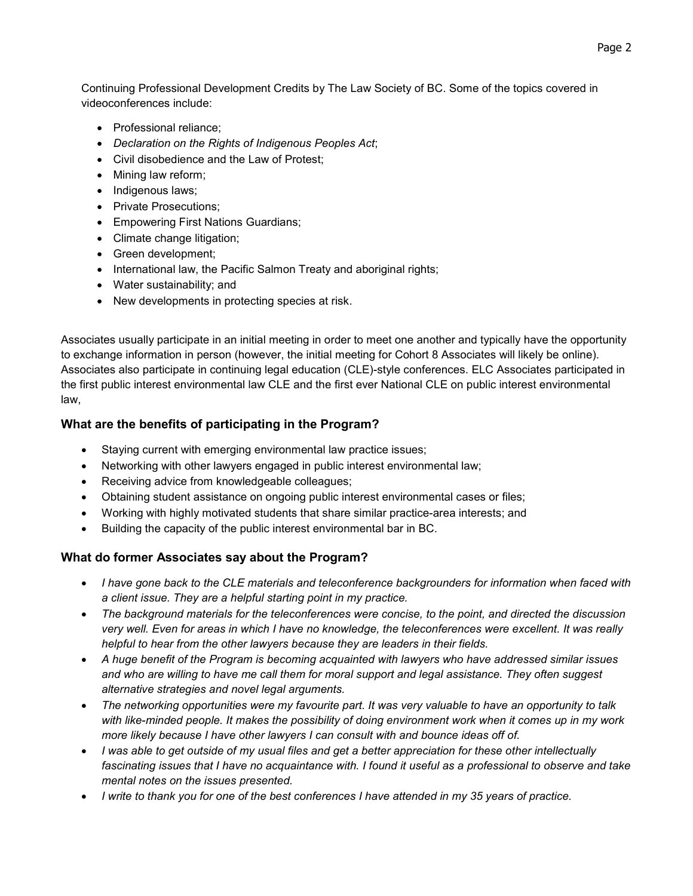Continuing Professional Development Credits by The Law Society of BC. Some of the topics covered in videoconferences include:

- Professional reliance;
- *Declaration on the Rights of Indigenous Peoples Act*;
- Civil disobedience and the Law of Protest;
- Mining law reform;
- Indigenous laws;
- Private Prosecutions;
- Empowering First Nations Guardians;
- Climate change litigation;
- Green development;
- International law, the Pacific Salmon Treaty and aboriginal rights;
- Water sustainability; and
- New developments in protecting species at risk.

Associates usually participate in an initial meeting in order to meet one another and typically have the opportunity to exchange information in person (however, the initial meeting for Cohort 8 Associates will likely be online). Associates also participate in continuing legal education (CLE)-style conferences. ELC Associates participated in the first public interest environmental law CLE and the first ever National CLE on public interest environmental law,

### **What are the benefits of participating in the Program?**

- Staying current with emerging environmental law practice issues;
- Networking with other lawyers engaged in public interest environmental law;
- Receiving advice from knowledgeable colleagues;
- Obtaining student assistance on ongoing public interest environmental cases or files;
- Working with highly motivated students that share similar practice-area interests; and
- Building the capacity of the public interest environmental bar in BC.

### **What do former Associates say about the Program?**

- *I have gone back to the CLE materials and teleconference backgrounders for information when faced with a client issue. They are a helpful starting point in my practice.*
- *The background materials for the teleconferences were concise, to the point, and directed the discussion very well. Even for areas in which I have no knowledge, the teleconferences were excellent. It was really helpful to hear from the other lawyers because they are leaders in their fields.*
- *A huge benefit of the Program is becoming acquainted with lawyers who have addressed similar issues and who are willing to have me call them for moral support and legal assistance. They often suggest alternative strategies and novel legal arguments.*
- *The networking opportunities were my favourite part. It was very valuable to have an opportunity to talk with like-minded people. It makes the possibility of doing environment work when it comes up in my work more likely because I have other lawyers I can consult with and bounce ideas off of.*
- *I was able to get outside of my usual files and get a better appreciation for these other intellectually fascinating issues that I have no acquaintance with. I found it useful as a professional to observe and take mental notes on the issues presented.*
- *I write to thank you for one of the best conferences I have attended in my 35 years of practice.*